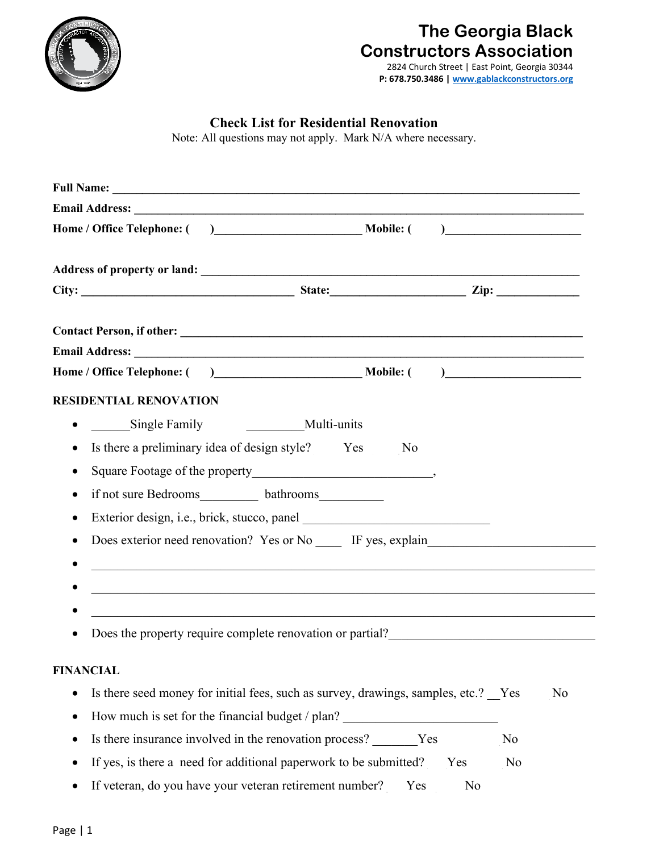

# **The Georgia Black Constructors Association**

2824 Church Street | East Point, Georgia 30344 **P: 678.750.3486 [| www.gablackconstructors.org](http://www.gablackconstructors.org/)** 

# **Check List for Residential Renovation**

Note: All questions may not apply. Mark N/A where necessary.

| <b>Full Name:</b>                                                                              |                |
|------------------------------------------------------------------------------------------------|----------------|
|                                                                                                |                |
|                                                                                                |                |
|                                                                                                |                |
|                                                                                                |                |
|                                                                                                |                |
|                                                                                                |                |
|                                                                                                |                |
|                                                                                                |                |
| <b>RESIDENTIAL RENOVATION</b>                                                                  |                |
| Single Family<br>Multi-units                                                                   |                |
| Is there a preliminary idea of design style? _____ Yes _____ No<br>$\bullet$                   |                |
|                                                                                                |                |
| if not sure Bedrooms____________ bathrooms_____________<br>$\bullet$                           |                |
| $\bullet$                                                                                      |                |
| Does exterior need renovation? Yes or No _____ IF yes, explain___________________              |                |
|                                                                                                |                |
|                                                                                                |                |
|                                                                                                |                |
| Does the property require complete renovation or partial?________________________<br>$\bullet$ |                |
| <b>FINANCIAL</b>                                                                               |                |
| Is there seed money for initial fees, such as survey, drawings, samples, etc.? Yes<br>٠        | No             |
| How much is set for the financial budget / plan?                                               |                |
| Is there insurance involved in the renovation process? _______Yes ______________               | No             |
| If yes, is there a need for additional paperwork to be submitted? Yes<br>٠                     | N <sub>o</sub> |
| If veteran, do you have your veteran retirement number? Ves<br>No                              |                |